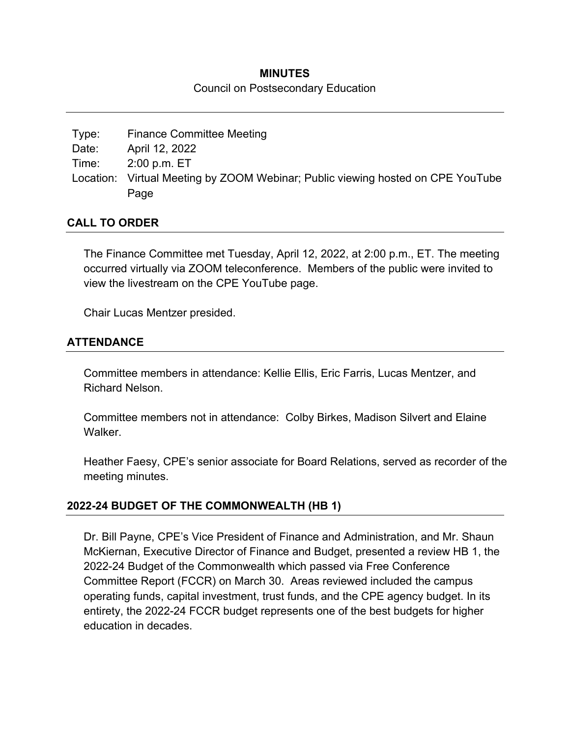#### **MINUTES**

#### Council on Postsecondary Education

| Type: | <b>Finance Committee Meeting</b>                                                |
|-------|---------------------------------------------------------------------------------|
| Date: | April 12, 2022                                                                  |
| Time: | $2:00$ p.m. $ET$                                                                |
|       | Location: Virtual Meeting by ZOOM Webinar; Public viewing hosted on CPE YouTube |
|       | Page                                                                            |

### **CALL TO ORDER**

The Finance Committee met Tuesday, April 12, 2022, at 2:00 p.m., ET. The meeting occurred virtually via ZOOM teleconference. Members of the public were invited to view the livestream on the CPE YouTube page.

Chair Lucas Mentzer presided.

### **ATTENDANCE**

Committee members in attendance: Kellie Ellis, Eric Farris, Lucas Mentzer, and Richard Nelson.

Committee members not in attendance: Colby Birkes, Madison Silvert and Elaine Walker.

Heather Faesy, CPE's senior associate for Board Relations, served as recorder of the meeting minutes.

## **2022-24 BUDGET OF THE COMMONWEALTH (HB 1)**

Dr. Bill Payne, CPE's Vice President of Finance and Administration, and Mr. Shaun McKiernan, Executive Director of Finance and Budget, presented a review HB 1, the 2022-24 Budget of the Commonwealth which passed via Free Conference Committee Report (FCCR) on March 30. Areas reviewed included the campus operating funds, capital investment, trust funds, and the CPE agency budget. In its entirety, the 2022-24 FCCR budget represents one of the best budgets for higher education in decades.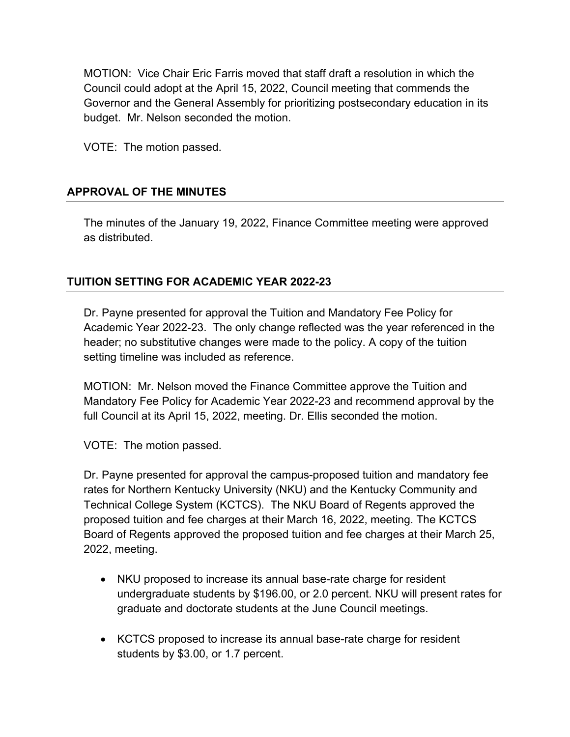MOTION: Vice Chair Eric Farris moved that staff draft a resolution in which the Council could adopt at the April 15, 2022, Council meeting that commends the Governor and the General Assembly for prioritizing postsecondary education in its budget. Mr. Nelson seconded the motion.

VOTE: The motion passed.

# **APPROVAL OF THE MINUTES**

The minutes of the January 19, 2022, Finance Committee meeting were approved as distributed.

# **TUITION SETTING FOR ACADEMIC YEAR 2022-23**

Dr. Payne presented for approval the Tuition and Mandatory Fee Policy for Academic Year 2022-23. The only change reflected was the year referenced in the header; no substitutive changes were made to the policy. A copy of the tuition setting timeline was included as reference.

MOTION: Mr. Nelson moved the Finance Committee approve the Tuition and Mandatory Fee Policy for Academic Year 2022-23 and recommend approval by the full Council at its April 15, 2022, meeting. Dr. Ellis seconded the motion.

VOTE: The motion passed.

Dr. Payne presented for approval the campus-proposed tuition and mandatory fee rates for Northern Kentucky University (NKU) and the Kentucky Community and Technical College System (KCTCS). The NKU Board of Regents approved the proposed tuition and fee charges at their March 16, 2022, meeting. The KCTCS Board of Regents approved the proposed tuition and fee charges at their March 25, 2022, meeting.

- NKU proposed to increase its annual base-rate charge for resident undergraduate students by \$196.00, or 2.0 percent. NKU will present rates for graduate and doctorate students at the June Council meetings.
- KCTCS proposed to increase its annual base-rate charge for resident students by \$3.00, or 1.7 percent.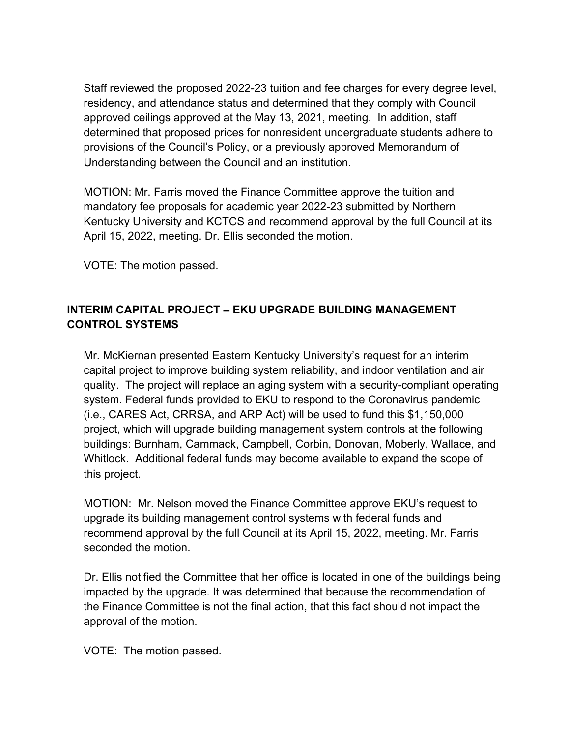Staff reviewed the proposed 2022-23 tuition and fee charges for every degree level, residency, and attendance status and determined that they comply with Council approved ceilings approved at the May 13, 2021, meeting. In addition, staff determined that proposed prices for nonresident undergraduate students adhere to provisions of the Council's Policy, or a previously approved Memorandum of Understanding between the Council and an institution.

MOTION: Mr. Farris moved the Finance Committee approve the tuition and mandatory fee proposals for academic year 2022-23 submitted by Northern Kentucky University and KCTCS and recommend approval by the full Council at its April 15, 2022, meeting. Dr. Ellis seconded the motion.

VOTE: The motion passed.

# **INTERIM CAPITAL PROJECT – EKU UPGRADE BUILDING MANAGEMENT CONTROL SYSTEMS**

Mr. McKiernan presented Eastern Kentucky University's request for an interim capital project to improve building system reliability, and indoor ventilation and air quality. The project will replace an aging system with a security-compliant operating system. Federal funds provided to EKU to respond to the Coronavirus pandemic (i.e., CARES Act, CRRSA, and ARP Act) will be used to fund this \$1,150,000 project, which will upgrade building management system controls at the following buildings: Burnham, Cammack, Campbell, Corbin, Donovan, Moberly, Wallace, and Whitlock. Additional federal funds may become available to expand the scope of this project.

MOTION: Mr. Nelson moved the Finance Committee approve EKU's request to upgrade its building management control systems with federal funds and recommend approval by the full Council at its April 15, 2022, meeting. Mr. Farris seconded the motion.

Dr. Ellis notified the Committee that her office is located in one of the buildings being impacted by the upgrade. It was determined that because the recommendation of the Finance Committee is not the final action, that this fact should not impact the approval of the motion.

VOTE: The motion passed.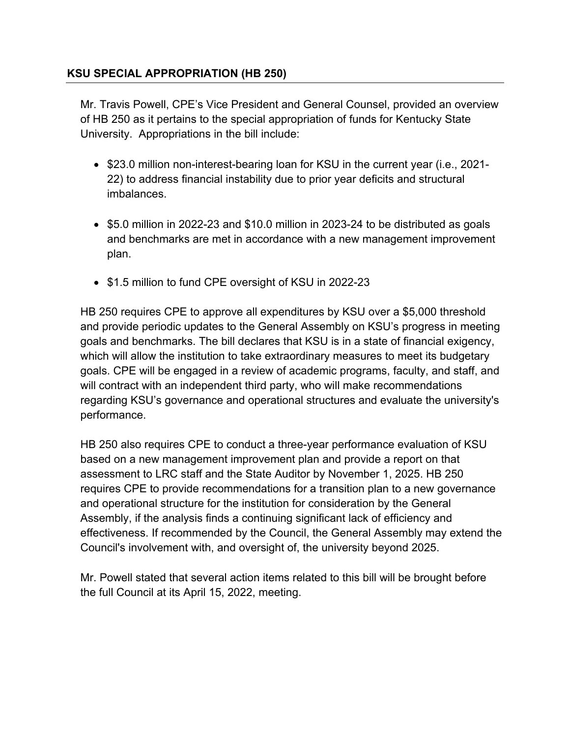## **KSU SPECIAL APPROPRIATION (HB 250)**

Mr. Travis Powell, CPE's Vice President and General Counsel, provided an overview of HB 250 as it pertains to the special appropriation of funds for Kentucky State University. Appropriations in the bill include:

- \$23.0 million non-interest-bearing loan for KSU in the current year (i.e., 2021-22) to address financial instability due to prior year deficits and structural imbalances.
- \$5.0 million in 2022-23 and \$10.0 million in 2023-24 to be distributed as goals and benchmarks are met in accordance with a new management improvement plan.
- \$1.5 million to fund CPE oversight of KSU in 2022-23

HB 250 requires CPE to approve all expenditures by KSU over a \$5,000 threshold and provide periodic updates to the General Assembly on KSU's progress in meeting goals and benchmarks. The bill declares that KSU is in a state of financial exigency, which will allow the institution to take extraordinary measures to meet its budgetary goals. CPE will be engaged in a review of academic programs, faculty, and staff, and will contract with an independent third party, who will make recommendations regarding KSU's governance and operational structures and evaluate the university's performance.

HB 250 also requires CPE to conduct a three-year performance evaluation of KSU based on a new management improvement plan and provide a report on that assessment to LRC staff and the State Auditor by November 1, 2025. HB 250 requires CPE to provide recommendations for a transition plan to a new governance and operational structure for the institution for consideration by the General Assembly, if the analysis finds a continuing significant lack of efficiency and effectiveness. If recommended by the Council, the General Assembly may extend the Council's involvement with, and oversight of, the university beyond 2025.

Mr. Powell stated that several action items related to this bill will be brought before the full Council at its April 15, 2022, meeting.